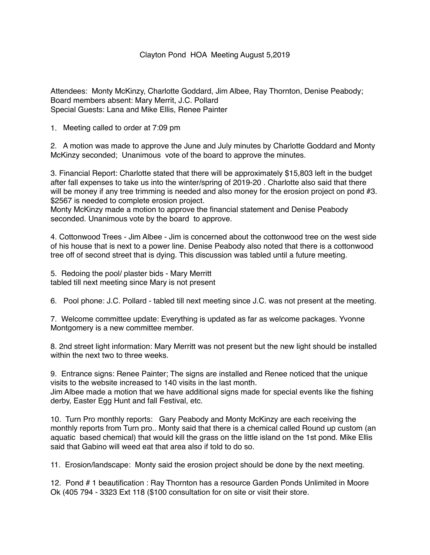## Clayton Pond HOA Meeting August 5,2019

Attendees: Monty McKinzy, Charlotte Goddard, Jim Albee, Ray Thornton, Denise Peabody; Board members absent: Mary Merrit, J.C. Pollard Special Guests: Lana and Mike Ellis, Renee Painter

1. Meeting called to order at 7:09 pm

2. A motion was made to approve the June and July minutes by Charlotte Goddard and Monty McKinzy seconded; Unanimous vote of the board to approve the minutes.

3. Financial Report: Charlotte stated that there will be approximately \$15,803 left in the budget after fall expenses to take us into the winter/spring of 2019-20 . Charlotte also said that there will be money if any tree trimming is needed and also money for the erosion project on pond #3. \$2567 is needed to complete erosion project.

Monty McKinzy made a motion to approve the financial statement and Denise Peabody seconded. Unanimous vote by the board to approve.

4. Cottonwood Trees - Jim Albee - Jim is concerned about the cottonwood tree on the west side of his house that is next to a power line. Denise Peabody also noted that there is a cottonwood tree off of second street that is dying. This discussion was tabled until a future meeting.

5. Redoing the pool/ plaster bids - Mary Merritt tabled till next meeting since Mary is not present

6. Pool phone: J.C. Pollard - tabled till next meeting since J.C. was not present at the meeting.

7. Welcome committee update: Everything is updated as far as welcome packages. Yvonne Montgomery is a new committee member.

8. 2nd street light information: Mary Merritt was not present but the new light should be installed within the next two to three weeks.

9. Entrance signs: Renee Painter; The signs are installed and Renee noticed that the unique visits to the website increased to 140 visits in the last month.

Jim Albee made a motion that we have additional signs made for special events like the fishing derby, Easter Egg Hunt and fall Festival, etc.

10. Turn Pro monthly reports: Gary Peabody and Monty McKinzy are each receiving the monthly reports from Turn pro.. Monty said that there is a chemical called Round up custom (an aquatic based chemical) that would kill the grass on the little island on the 1st pond. Mike Ellis said that Gabino will weed eat that area also if told to do so.

11. Erosion/landscape: Monty said the erosion project should be done by the next meeting.

12. Pond # 1 beautification : Ray Thornton has a resource Garden Ponds Unlimited in Moore Ok (405 794 - 3323 Ext 118 (\$100 consultation for on site or visit their store.